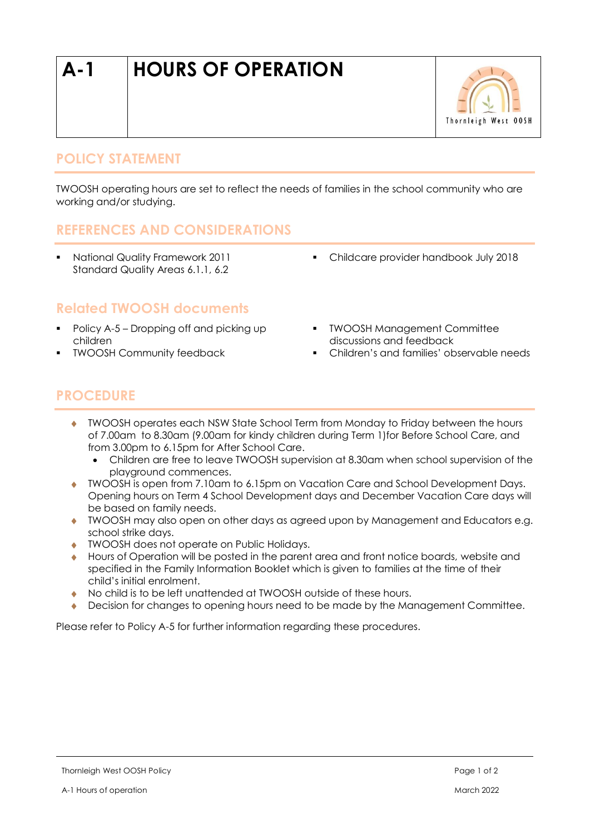# **A-1 HOURS OF OPERATION**



### **POLICY STATEMENT**

TWOOSH operating hours are set to reflect the needs of families in the school community who are working and/or studying.

#### **REFERENCES AND CONSIDERATIONS**

▪ National Quality Framework 2011 Standard Quality Areas 6.1.1, 6.2

▪ Childcare provider handbook July 2018

#### **Related TWOOSH documents**

- Policy A-5 Dropping off and picking up children
- **TWOOSH Community feedback**
- TWOOSH Management Committee discussions and feedback
- Children's and families' observable needs

#### **PROCEDURE**

- TWOOSH operates each NSW State School Term from Monday to Friday between the hours of 7.00am to 8.30am (9.00am for kindy children during Term 1)for Before School Care, and from 3.00pm to 6.15pm for After School Care.
	- Children are free to leave TWOOSH supervision at 8.30am when school supervision of the playground commences.
- TWOOSH is open from 7.10am to 6.15pm on Vacation Care and School Development Days. Opening hours on Term 4 School Development days and December Vacation Care days will be based on family needs.
- TWOOSH may also open on other days as agreed upon by Management and Educators e.g. school strike days.
- TWOOSH does not operate on Public Holidays.
- Hours of Operation will be posted in the parent area and front notice boards, website and specified in the Family Information Booklet which is given to families at the time of their child's initial enrolment.
- No child is to be left unattended at TWOOSH outside of these hours.
- Decision for changes to opening hours need to be made by the Management Committee.

Please refer to Policy A-5 for further information regarding these procedures.